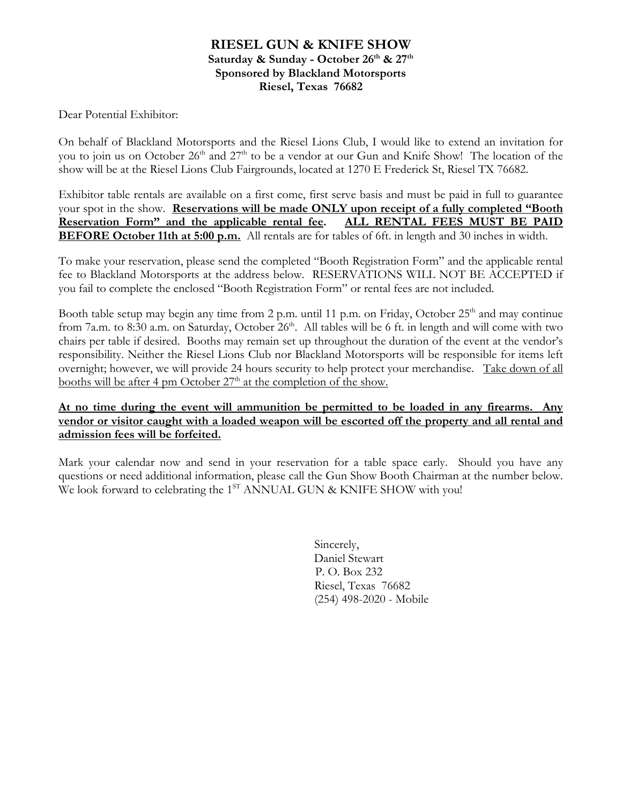### **RIESEL GUN & KNIFE SHOW**  Saturday & Sunday - October 26<sup>th</sup> & 27<sup>th</sup> **Sponsored by Blackland Motorsports Riesel, Texas 76682**

Dear Potential Exhibitor:

On behalf of Blackland Motorsports and the Riesel Lions Club, I would like to extend an invitation for you to join us on October 26<sup>th</sup> and 27<sup>th</sup> to be a vendor at our Gun and Knife Show! The location of the show will be at the Riesel Lions Club Fairgrounds, located at 1270 E Frederick St, Riesel TX 76682.

Exhibitor table rentals are available on a first come, first serve basis and must be paid in full to guarantee your spot in the show. **Reservations will be made ONLY upon receipt of a fully completed "Booth Reservation Form" and the applicable rental fee. ALL RENTAL FEES MUST BE PAID BEFORE October 11th at 5:00 p.m.** All rentals are for tables of 6ft. in length and 30 inches in width.

To make your reservation, please send the completed "Booth Registration Form" and the applicable rental fee to Blackland Motorsports at the address below. RESERVATIONS WILL NOT BE ACCEPTED if you fail to complete the enclosed "Booth Registration Form" or rental fees are not included.

Booth table setup may begin any time from 2 p.m. until 11 p.m. on Friday, October 25<sup>th</sup> and may continue from 7a.m. to 8:30 a.m. on Saturday, October 26<sup>th</sup>. All tables will be 6 ft. in length and will come with two chairs per table if desired. Booths may remain set up throughout the duration of the event at the vendor's responsibility. Neither the Riesel Lions Club nor Blackland Motorsports will be responsible for items left overnight; however, we will provide 24 hours security to help protect your merchandise. Take down of all booths will be after 4 pm October  $27<sup>th</sup>$  at the completion of the show.

#### **At no time during the event will ammunition be permitted to be loaded in any firearms. Any vendor or visitor caught with a loaded weapon will be escorted off the property and all rental and admission fees will be forfeited.**

Mark your calendar now and send in your reservation for a table space early. Should you have any questions or need additional information, please call the Gun Show Booth Chairman at the number below. We look forward to celebrating the 1<sup>ST</sup> ANNUAL GUN & KNIFE SHOW with you!

> Sincerely, Daniel Stewart P. O. Box 232 Riesel, Texas 76682 (254) 498-2020 - Mobile